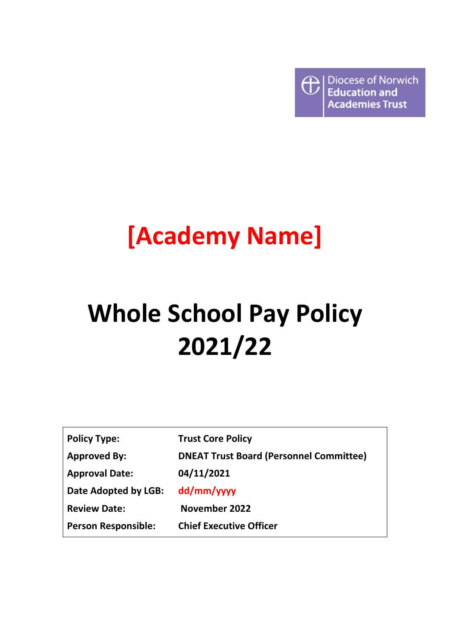

## **[Academy Name]**

# **Whole School Pay Policy 2021/22**

| <b>Policy Type:</b>        | <b>Trust Core Policy</b>                       |
|----------------------------|------------------------------------------------|
| <b>Approved By:</b>        | <b>DNEAT Trust Board (Personnel Committee)</b> |
| <b>Approval Date:</b>      | 04/11/2021                                     |
| Date Adopted by LGB:       | dd/mm/yyyy                                     |
| <b>Review Date:</b>        | November 2022                                  |
| <b>Person Responsible:</b> | <b>Chief Executive Officer</b>                 |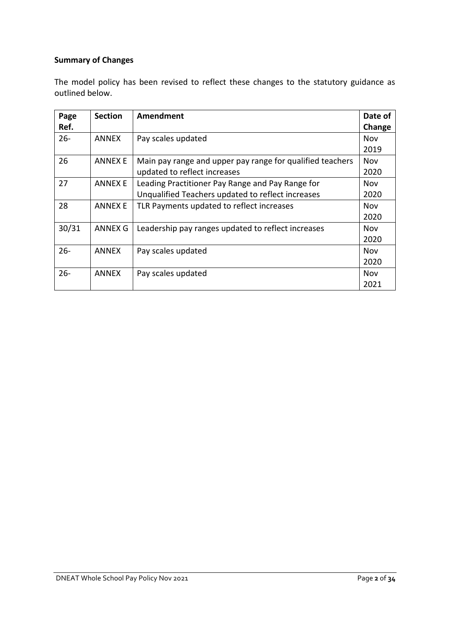## **Summary of Changes**

The model policy has been revised to reflect these changes to the statutory guidance as outlined below.

| Page   | <b>Section</b> | Amendment                                                 | Date of    |
|--------|----------------|-----------------------------------------------------------|------------|
| Ref.   |                |                                                           | Change     |
| $26 -$ | <b>ANNEX</b>   | Pay scales updated                                        | Nov        |
|        |                |                                                           | 2019       |
| 26     | <b>ANNEX E</b> | Main pay range and upper pay range for qualified teachers | <b>Nov</b> |
|        |                | updated to reflect increases                              | 2020       |
| 27     | <b>ANNEX E</b> | Leading Practitioner Pay Range and Pay Range for          | Nov        |
|        |                | Unqualified Teachers updated to reflect increases         | 2020       |
| 28     | <b>ANNEX E</b> | TLR Payments updated to reflect increases                 | Nov        |
|        |                |                                                           | 2020       |
| 30/31  | ANNEX G        | Leadership pay ranges updated to reflect increases        | <b>Nov</b> |
|        |                |                                                           | 2020       |
| $26 -$ | <b>ANNEX</b>   | Pay scales updated                                        | <b>Nov</b> |
|        |                |                                                           | 2020       |
| $26 -$ | <b>ANNEX</b>   | Pay scales updated                                        | Nov        |
|        |                |                                                           | 2021       |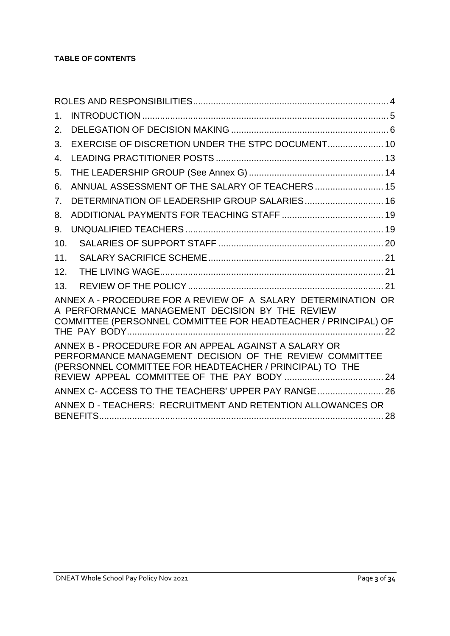| $1_{-}$ |                                                                                                                                                                                    |  |
|---------|------------------------------------------------------------------------------------------------------------------------------------------------------------------------------------|--|
| 2.      |                                                                                                                                                                                    |  |
| 3.      | EXERCISE OF DISCRETION UNDER THE STPC DOCUMENT 10                                                                                                                                  |  |
| 4.      |                                                                                                                                                                                    |  |
| 5.      |                                                                                                                                                                                    |  |
| 6.      | ANNUAL ASSESSMENT OF THE SALARY OF TEACHERS  15                                                                                                                                    |  |
| 7.      | DETERMINATION OF LEADERSHIP GROUP SALARIES 16                                                                                                                                      |  |
| 8.      |                                                                                                                                                                                    |  |
| 9.      |                                                                                                                                                                                    |  |
| 10.     |                                                                                                                                                                                    |  |
| 11.     |                                                                                                                                                                                    |  |
| 12.     |                                                                                                                                                                                    |  |
| 13.     |                                                                                                                                                                                    |  |
|         | ANNEX A - PROCEDURE FOR A REVIEW OF A SALARY DETERMINATION OR<br>A PERFORMANCE MANAGEMENT DECISION BY THE REVIEW<br>COMMITTEE (PERSONNEL COMMITTEE FOR HEADTEACHER / PRINCIPAL) OF |  |
|         | ANNEX B - PROCEDURE FOR AN APPEAL AGAINST A SALARY OR<br>PERFORMANCE MANAGEMENT DECISION OF THE REVIEW COMMITTEE<br>(PERSONNEL COMMITTEE FOR HEADTEACHER / PRINCIPAL) TO THE       |  |
|         | ANNEX C- ACCESS TO THE TEACHERS' UPPER PAY RANGE 26                                                                                                                                |  |
|         | ANNEX D - TEACHERS: RECRUITMENT AND RETENTION ALLOWANCES OR                                                                                                                        |  |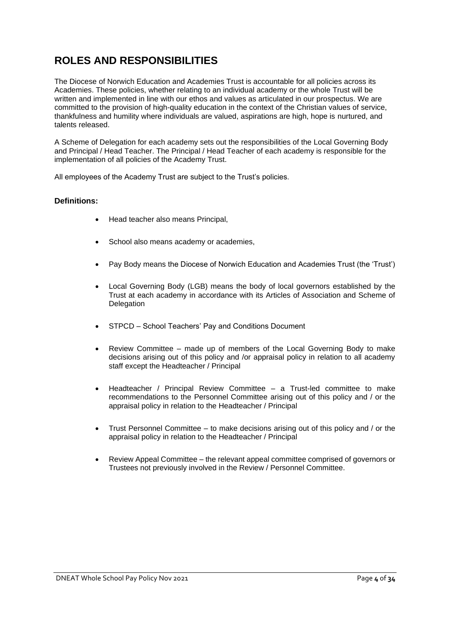## <span id="page-3-0"></span>**ROLES AND RESPONSIBILITIES**

The Diocese of Norwich Education and Academies Trust is accountable for all policies across its Academies. These policies, whether relating to an individual academy or the whole Trust will be written and implemented in line with our ethos and values as articulated in our prospectus. We are committed to the provision of high-quality education in the context of the Christian values of service, thankfulness and humility where individuals are valued, aspirations are high, hope is nurtured, and talents released.

A Scheme of Delegation for each academy sets out the responsibilities of the Local Governing Body and Principal / Head Teacher. The Principal / Head Teacher of each academy is responsible for the implementation of all policies of the Academy Trust.

All employees of the Academy Trust are subject to the Trust's policies.

## **Definitions:**

- Head teacher also means Principal,
- School also means academy or academies,
- Pay Body means the Diocese of Norwich Education and Academies Trust (the 'Trust')
- Local Governing Body (LGB) means the body of local governors established by the Trust at each academy in accordance with its Articles of Association and Scheme of **Delegation**
- STPCD School Teachers' Pay and Conditions Document
- Review Committee made up of members of the Local Governing Body to make decisions arising out of this policy and /or appraisal policy in relation to all academy staff except the Headteacher / Principal
- Headteacher / Principal Review Committee a Trust-led committee to make recommendations to the Personnel Committee arising out of this policy and / or the appraisal policy in relation to the Headteacher / Principal
- Trust Personnel Committee to make decisions arising out of this policy and / or the appraisal policy in relation to the Headteacher / Principal
- Review Appeal Committee the relevant appeal committee comprised of governors or Trustees not previously involved in the Review / Personnel Committee.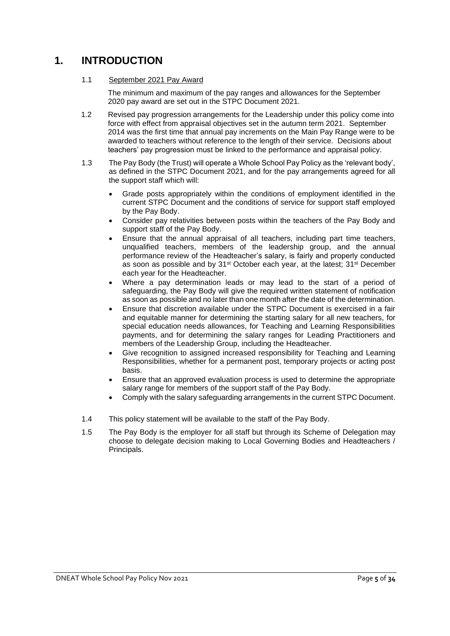## <span id="page-4-0"></span>**1. INTRODUCTION**

## 1.1 September 2021 Pay Award

The minimum and maximum of the pay ranges and allowances for the September 2020 pay award are set out in the STPC Document 2021.

- 1.2 Revised pay progression arrangements for the Leadership under this policy come into force with effect from appraisal objectives set in the autumn term 2021. September 2014 was the first time that annual pay increments on the Main Pay Range were to be awarded to teachers without reference to the length of their service. Decisions about teachers' pay progression must be linked to the performance and appraisal policy.
- 1.3 The Pay Body (the Trust) will operate a Whole School Pay Policy as the 'relevant body', as defined in the STPC Document 2021, and for the pay arrangements agreed for all the support staff which will:
	- Grade posts appropriately within the conditions of employment identified in the current STPC Document and the conditions of service for support staff employed by the Pay Body.
	- Consider pay relativities between posts within the teachers of the Pay Body and support staff of the Pay Body.
	- Ensure that the annual appraisal of all teachers, including part time teachers, unqualified teachers, members of the leadership group, and the annual performance review of the Headteacher's salary, is fairly and properly conducted as soon as possible and by 31<sup>st</sup> October each year, at the latest; 31<sup>st</sup> December each year for the Headteacher.
	- Where a pay determination leads or may lead to the start of a period of safeguarding, the Pay Body will give the required written statement of notification as soon as possible and no later than one month after the date of the determination.
	- Ensure that discretion available under the STPC Document is exercised in a fair and equitable manner for determining the starting salary for all new teachers, for special education needs allowances, for Teaching and Learning Responsibilities payments, and for determining the salary ranges for Leading Practitioners and members of the Leadership Group, including the Headteacher.
	- Give recognition to assigned increased responsibility for Teaching and Learning Responsibilities, whether for a permanent post, temporary projects or acting post basis.
	- Ensure that an approved evaluation process is used to determine the appropriate salary range for members of the support staff of the Pay Body.
	- Comply with the salary safeguarding arrangements in the current STPC Document.
- 1.4 This policy statement will be available to the staff of the Pay Body.
- 1.5 The Pay Body is the employer for all staff but through its Scheme of Delegation may choose to delegate decision making to Local Governing Bodies and Headteachers / Principals.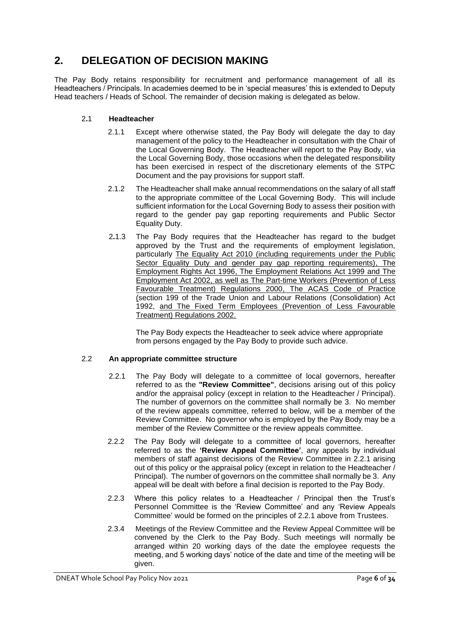## <span id="page-5-0"></span>**2. DELEGATION OF DECISION MAKING**

The Pay Body retains responsibility for recruitment and performance management of all its Headteachers / Principals. In academies deemed to be in 'special measures' this is extended to Deputy Head teachers / Heads of School. The remainder of decision making is delegated as below.

## 2**.**1 **Headteacher**

- 2.1.1 Except where otherwise stated, the Pay Body will delegate the day to day management of the policy to the Headteacher in consultation with the Chair of the Local Governing Body. The Headteacher will report to the Pay Body, via the Local Governing Body, those occasions when the delegated responsibility has been exercised in respect of the discretionary elements of the STPC Document and the pay provisions for support staff.
- 2.1.2 The Headteacher shall make annual recommendations on the salary of all staff to the appropriate committee of the Local Governing Body. This will include sufficient information for the Local Governing Body to assess their position with regard to the gender pay gap reporting requirements and Public Sector Equality Duty.
- 2**.**1.3 The Pay Body requires that the Headteacher has regard to the budget approved by the Trust and the requirements of employment legislation, particularly The Equality Act 2010 (including requirements under the Public Sector Equality Duty and gender pay gap reporting requirements), The [Employment Rights Act 1996,](http://www.hmso.gov.uk/acts/acts1996/1996018.htm) [The Employment Relations Act 1999](http://www.hmso.gov.uk/acts/acts1999/19990026.htm) and [The](http://www.opsi.gov.uk/acts/acts2002/20020022.htm)  [Employment Act 2002,](http://www.opsi.gov.uk/acts/acts2002/20020022.htm) as well as [The Part-time Workers \(Prevention of Less](http://www.dti.gov.uk/er/ptime.htm)  [Favourable Treatment\) Regulations 2000,](http://www.dti.gov.uk/er/ptime.htm) The ACAS Code of Practice (section 199 of the Trade Union and Labour Relations (Consolidation) Act 1992, and The [Fixed Term Employees \(Prevention of Less Favourable](http://www.legislation.hmso.gov.uk/si/si2002/20022034.htm)  [Treatment\) Regulations 2002.](http://www.legislation.hmso.gov.uk/si/si2002/20022034.htm)

The Pay Body expects the Headteacher to seek advice where appropriate from persons engaged by the Pay Body to provide such advice.

## 2.2 **An appropriate committee structure**

- 2.2.1 The Pay Body will delegate to a committee of local governors, hereafter referred to as the **"Review Committee"**, decisions arising out of this policy and/or the appraisal policy (except in relation to the Headteacher / Principal). The number of governors on the committee shall normally be 3. No member of the review appeals committee, referred to below, will be a member of the Review Committee. No governor who is employed by the Pay Body may be a member of the Review Committee or the review appeals committee.
- 2.2.2 The Pay Body will delegate to a committee of local governors, hereafter referred to as the **'Review Appeal Committee'**, any appeals by individual members of staff against decisions of the Review Committee in 2.2.1 arising out of this policy or the appraisal policy (except in relation to the Headteacher / Principal). The number of governors on the committee shall normally be 3. Any appeal will be dealt with before a final decision is reported to the Pay Body.
- 2.2.3 Where this policy relates to a Headteacher / Principal then the Trust's Personnel Committee is the 'Review Committee' and any 'Review Appeals Committee' would be formed on the principles of 2.2.1 above from Trustees.
- 2.3.4 Meetings of the Review Committee and the Review Appeal Committee will be convened by the Clerk to the Pay Body. Such meetings will normally be arranged within 20 working days of the date the employee requests the meeting, and 5 working days' notice of the date and time of the meeting will be given.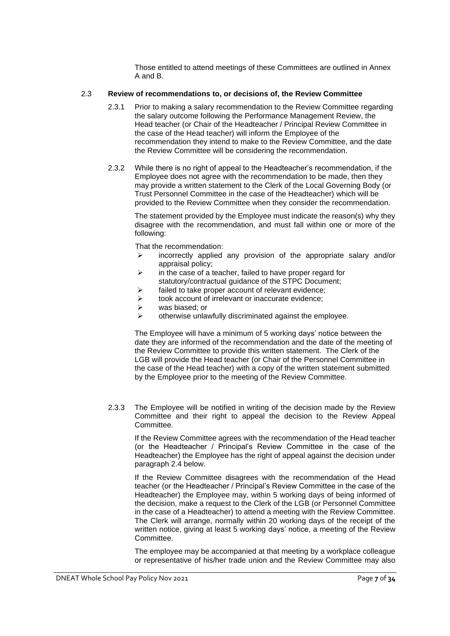Those entitled to attend meetings of these Committees are outlined in Annex A and B.

#### 2.3 **Review of recommendations to, or decisions of, the Review Committee**

- 2.3.1 Prior to making a salary recommendation to the Review Committee regarding the salary outcome following the Performance Management Review, the Head teacher (or Chair of the Headteacher / Principal Review Committee in the case of the Head teacher) will inform the Employee of the recommendation they intend to make to the Review Committee, and the date the Review Committee will be considering the recommendation.
- 2.3.2 While there is no right of appeal to the Headteacher's recommendation, if the Employee does not agree with the recommendation to be made, then they may provide a written statement to the Clerk of the Local Governing Body (or Trust Personnel Committee in the case of the Headteacher) which will be provided to the Review Committee when they consider the recommendation.

The statement provided by the Employee must indicate the reason(s) why they disagree with the recommendation, and must fall within one or more of the following:

That the recommendation:

- ➢ incorrectly applied any provision of the appropriate salary and/or appraisal policy;
- $\triangleright$  in the case of a teacher, failed to have proper regard for statutory/contractual guidance of the STPC Document;
- ➢ failed to take proper account of relevant evidence;
- ➢ took account of irrelevant or inaccurate evidence;
- ➢ was biased; or
- $\triangleright$  otherwise unlawfully discriminated against the employee.

The Employee will have a minimum of 5 working days' notice between the date they are informed of the recommendation and the date of the meeting of the Review Committee to provide this written statement. The Clerk of the LGB will provide the Head teacher (or Chair of the Personnel Committee in the case of the Head teacher) with a copy of the written statement submitted by the Employee prior to the meeting of the Review Committee.

2.3.3 The Employee will be notified in writing of the decision made by the Review Committee and their right to appeal the decision to the Review Appeal **Committee.** 

If the Review Committee agrees with the recommendation of the Head teacher (or the Headteacher / Principal's Review Committee in the case of the Headteacher) the Employee has the right of appeal against the decision under paragraph 2.4 below.

If the Review Committee disagrees with the recommendation of the Head teacher (or the Headteacher / Principal's Review Committee in the case of the Headteacher) the Employee may, within 5 working days of being informed of the decision, make a request to the Clerk of the LGB (or Personnel Committee in the case of a Headteacher) to attend a meeting with the Review Committee. The Clerk will arrange, normally within 20 working days of the receipt of the written notice, giving at least 5 working days' notice, a meeting of the Review Committee.

The employee may be accompanied at that meeting by a workplace colleague or representative of his/her trade union and the Review Committee may also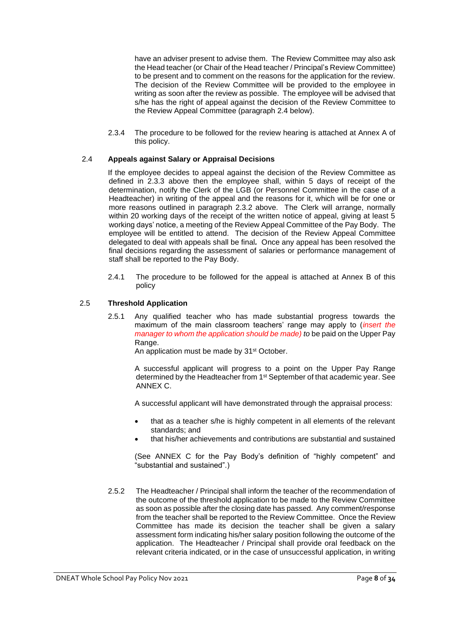have an adviser present to advise them. The Review Committee may also ask the Head teacher (or Chair of the Head teacher / Principal's Review Committee) to be present and to comment on the reasons for the application for the review. The decision of the Review Committee will be provided to the employee in writing as soon after the review as possible. The employee will be advised that s/he has the right of appeal against the decision of the Review Committee to the Review Appeal Committee (paragraph 2.4 below).

2.3.4 The procedure to be followed for the review hearing is attached at Annex A of this policy.

#### 2.4 **Appeals against Salary or Appraisal Decisions**

If the employee decides to appeal against the decision of the Review Committee as defined in 2.3.3 above then the employee shall, within 5 days of receipt of the determination, notify the Clerk of the LGB (or Personnel Committee in the case of a Headteacher) in writing of the appeal and the reasons for it, which will be for one or more reasons outlined in paragraph 2.3.2 above. The Clerk will arrange, normally within 20 working days of the receipt of the written notice of appeal, giving at least 5 working days' notice, a meeting of the Review Appeal Committee of the Pay Body. The employee will be entitled to attend. The decision of the Review Appeal Committee delegated to deal with appeals shall be final*.* Once any appeal has been resolved the final decisions regarding the assessment of salaries or performance management of staff shall be reported to the Pay Body.

2.4.1 The procedure to be followed for the appeal is attached at Annex B of this policy

## 2.5 **Threshold Application**

2.5.1 Any qualified teacher who has made substantial progress towards the maximum of the main classroom teachers' range may apply to (*insert the manager to whom the application should be made) to be paid on the Upper Pay* Range.

An application must be made by 31<sup>st</sup> October.

A successful applicant will progress to a point on the Upper Pay Range determined by the Headteacher from 1<sup>st</sup> September of that academic year. See ANNEX C.

A successful applicant will have demonstrated through the appraisal process:

- that as a teacher s/he is highly competent in all elements of the relevant standards; and
- that his/her achievements and contributions are substantial and sustained

(See ANNEX C for the Pay Body's definition of "highly competent" and "substantial and sustained".)

2.5.2 The Headteacher / Principal shall inform the teacher of the recommendation of the outcome of the threshold application to be made to the Review Committee as soon as possible after the closing date has passed. Any comment/response from the teacher shall be reported to the Review Committee. Once the Review Committee has made its decision the teacher shall be given a salary assessment form indicating his/her salary position following the outcome of the application. The Headteacher / Principal shall provide oral feedback on the relevant criteria indicated, or in the case of unsuccessful application, in writing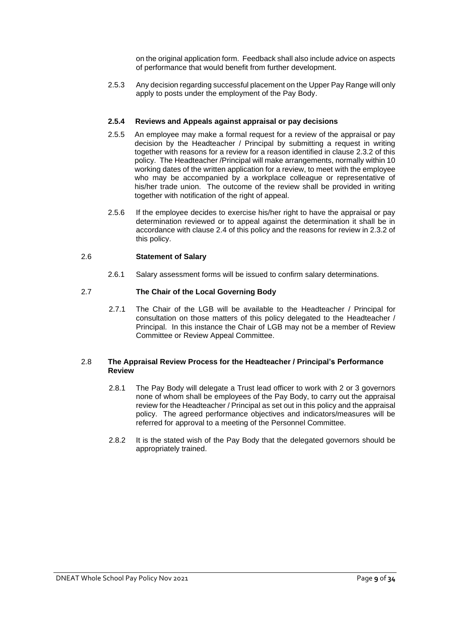on the original application form. Feedback shall also include advice on aspects of performance that would benefit from further development.

2.5.3 Any decision regarding successful placement on the Upper Pay Range will only apply to posts under the employment of the Pay Body.

## **2.5.4 Reviews and Appeals against appraisal or pay decisions**

- 2.5.5 An employee may make a formal request for a review of the appraisal or pay decision by the Headteacher / Principal by submitting a request in writing together with reasons for a review for a reason identified in clause 2.3.2 of this policy. The Headteacher /Principal will make arrangements, normally within 10 working dates of the written application for a review, to meet with the employee who may be accompanied by a workplace colleague or representative of his/her trade union. The outcome of the review shall be provided in writing together with notification of the right of appeal.
- 2.5.6 If the employee decides to exercise his/her right to have the appraisal or pay determination reviewed or to appeal against the determination it shall be in accordance with clause 2.4 of this policy and the reasons for review in 2.3.2 of this policy.

## 2.6 **Statement of Salary**

2.6.1 Salary assessment forms will be issued to confirm salary determinations.

## 2.7 **The Chair of the Local Governing Body**

2.7.1 The Chair of the LGB will be available to the Headteacher / Principal for consultation on those matters of this policy delegated to the Headteacher / Principal. In this instance the Chair of LGB may not be a member of Review Committee or Review Appeal Committee.

#### 2.8 **The Appraisal Review Process for the Headteacher / Principal's Performance Review**

- 2.8.1 The Pay Body will delegate a Trust lead officer to work with 2 or 3 governors none of whom shall be employees of the Pay Body, to carry out the appraisal review for the Headteacher / Principal as set out in this policy and the appraisal policy. The agreed performance objectives and indicators/measures will be referred for approval to a meeting of the Personnel Committee.
- 2.8.2 It is the stated wish of the Pay Body that the delegated governors should be appropriately trained.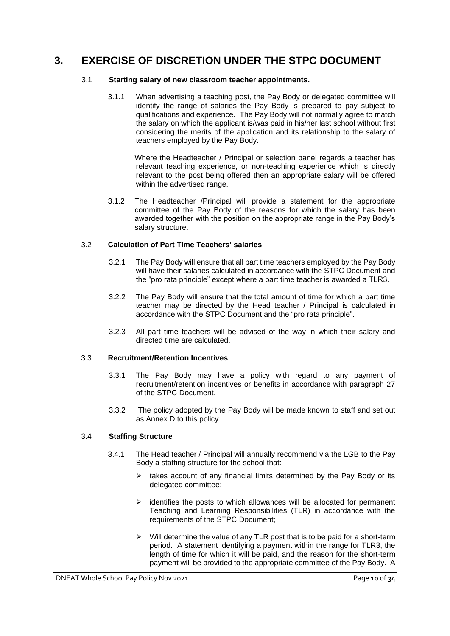## <span id="page-9-0"></span>**3. EXERCISE OF DISCRETION UNDER THE STPC DOCUMENT**

## 3.1 **Starting salary of new classroom teacher appointments.**

3.1.1 When advertising a teaching post, the Pay Body or delegated committee will identify the range of salaries the Pay Body is prepared to pay subject to qualifications and experience. The Pay Body will not normally agree to match the salary on which the applicant is/was paid in his/her last school without first considering the merits of the application and its relationship to the salary of teachers employed by the Pay Body.

Where the Headteacher / Principal or selection panel regards a teacher has relevant teaching experience, or non-teaching experience which is directly relevant to the post being offered then an appropriate salary will be offered within the advertised range.

3.1.2 The Headteacher /Principal will provide a statement for the appropriate committee of the Pay Body of the reasons for which the salary has been awarded together with the position on the appropriate range in the Pay Body's salary structure.

## 3.2 **Calculation of Part Time Teachers' salaries**

- 3.2.1 The Pay Body will ensure that all part time teachers employed by the Pay Body will have their salaries calculated in accordance with the STPC Document and the "pro rata principle" except where a part time teacher is awarded a TLR3.
- 3.2.2 The Pay Body will ensure that the total amount of time for which a part time teacher may be directed by the Head teacher / Principal is calculated in accordance with the STPC Document and the "pro rata principle".
- 3.2.3 All part time teachers will be advised of the way in which their salary and directed time are calculated.

## 3.3 **Recruitment/Retention Incentives**

- 3.3.1 The Pay Body may have a policy with regard to any payment of recruitment/retention incentives or benefits in accordance with paragraph 27 of the STPC Document.
- 3.3.2 The policy adopted by the Pay Body will be made known to staff and set out as Annex D to this policy.

## 3.4 **Staffing Structure**

- 3.4.1 The Head teacher / Principal will annually recommend via the LGB to the Pay Body a staffing structure for the school that:
	- $\triangleright$  takes account of any financial limits determined by the Pay Body or its delegated committee;
	- $\triangleright$  identifies the posts to which allowances will be allocated for permanent Teaching and Learning Responsibilities (TLR) in accordance with the requirements of the STPC Document;
	- $\triangleright$  Will determine the value of any TLR post that is to be paid for a short-term period. A statement identifying a payment within the range for TLR3, the length of time for which it will be paid, and the reason for the short-term payment will be provided to the appropriate committee of the Pay Body. A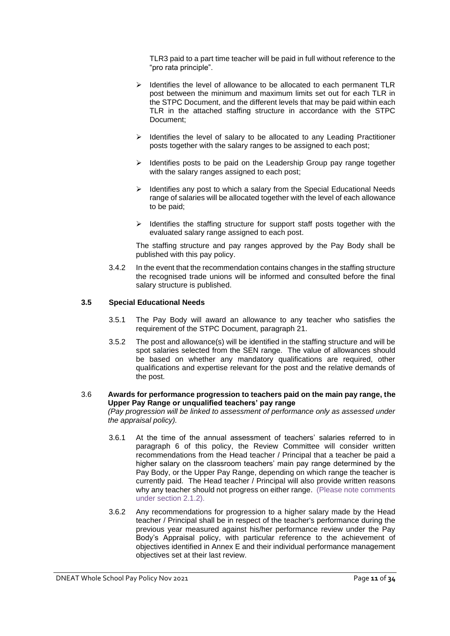TLR3 paid to a part time teacher will be paid in full without reference to the "pro rata principle".

- ➢ Identifies the level of allowance to be allocated to each permanent TLR post between the minimum and maximum limits set out for each TLR in the STPC Document, and the different levels that may be paid within each TLR in the attached staffing structure in accordance with the STPC Document;
- ➢ Identifies the level of salary to be allocated to any Leading Practitioner posts together with the salary ranges to be assigned to each post;
- ➢ Identifies posts to be paid on the Leadership Group pay range together with the salary ranges assigned to each post;
- ➢ Identifies any post to which a salary from the Special Educational Needs range of salaries will be allocated together with the level of each allowance to be paid;
- $\triangleright$  Identifies the staffing structure for support staff posts together with the evaluated salary range assigned to each post.

The staffing structure and pay ranges approved by the Pay Body shall be published with this pay policy.

3.4.2 In the event that the recommendation contains changes in the staffing structure the recognised trade unions will be informed and consulted before the final salary structure is published.

#### **3.5 Special Educational Needs**

- 3.5.1 The Pay Body will award an allowance to any teacher who satisfies the requirement of the STPC Document, paragraph 21.
- 3.5.2 The post and allowance(s) will be identified in the staffing structure and will be spot salaries selected from the SEN range. The value of allowances should be based on whether any mandatory qualifications are required, other qualifications and expertise relevant for the post and the relative demands of the post.

## 3.6 **Awards for performance progression to teachers paid on the main pay range, the Upper Pay Range or unqualified teachers' pay range**

*(Pay progression will be linked to assessment of performance only as assessed under the appraisal policy).*

- 3.6.1 At the time of the annual assessment of teachers' salaries referred to in paragraph 6 of this policy, the Review Committee will consider written recommendations from the Head teacher / Principal that a teacher be paid a higher salary on the classroom teachers' main pay range determined by the Pay Body, or the Upper Pay Range, depending on which range the teacher is currently paid. The Head teacher / Principal will also provide written reasons why any teacher should not progress on either range. (Please note comments under section 2.1.2).
- 3.6.2 Any recommendations for progression to a higher salary made by the Head teacher / Principal shall be in respect of the teacher's performance during the previous year measured against his/her performance review under the Pay Body's Appraisal policy, with particular reference to the achievement of objectives identified in Annex E and their individual performance management objectives set at their last review.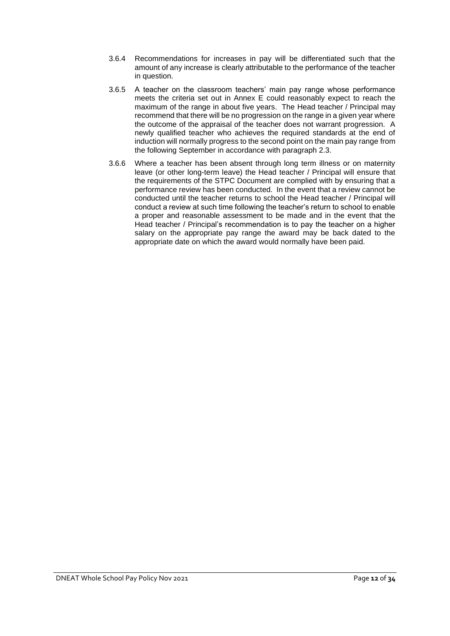- 3.6.4 Recommendations for increases in pay will be differentiated such that the amount of any increase is clearly attributable to the performance of the teacher in question.
- 3.6.5 A teacher on the classroom teachers' main pay range whose performance meets the criteria set out in Annex E could reasonably expect to reach the maximum of the range in about five years. The Head teacher / Principal may recommend that there will be no progression on the range in a given year where the outcome of the appraisal of the teacher does not warrant progression. A newly qualified teacher who achieves the required standards at the end of induction will normally progress to the second point on the main pay range from the following September in accordance with paragraph 2.3.
- 3.6.6 Where a teacher has been absent through long term illness or on maternity leave (or other long-term leave) the Head teacher / Principal will ensure that the requirements of the STPC Document are complied with by ensuring that a performance review has been conducted. In the event that a review cannot be conducted until the teacher returns to school the Head teacher / Principal will conduct a review at such time following the teacher's return to school to enable a proper and reasonable assessment to be made and in the event that the Head teacher / Principal's recommendation is to pay the teacher on a higher salary on the appropriate pay range the award may be back dated to the appropriate date on which the award would normally have been paid.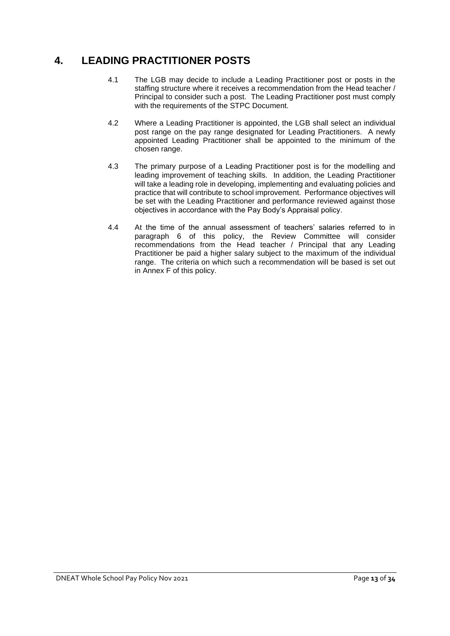## <span id="page-12-0"></span>**4. LEADING PRACTITIONER POSTS**

- 4.1 The LGB may decide to include a Leading Practitioner post or posts in the staffing structure where it receives a recommendation from the Head teacher / Principal to consider such a post. The Leading Practitioner post must comply with the requirements of the STPC Document.
- 4.2 Where a Leading Practitioner is appointed, the LGB shall select an individual post range on the pay range designated for Leading Practitioners. A newly appointed Leading Practitioner shall be appointed to the minimum of the chosen range.
- 4.3 The primary purpose of a Leading Practitioner post is for the modelling and leading improvement of teaching skills. In addition, the Leading Practitioner will take a leading role in developing, implementing and evaluating policies and practice that will contribute to school improvement. Performance objectives will be set with the Leading Practitioner and performance reviewed against those objectives in accordance with the Pay Body's Appraisal policy.
- 4.4 At the time of the annual assessment of teachers' salaries referred to in paragraph 6 of this policy, the Review Committee will consider recommendations from the Head teacher / Principal that any Leading Practitioner be paid a higher salary subject to the maximum of the individual range. The criteria on which such a recommendation will be based is set out in Annex F of this policy.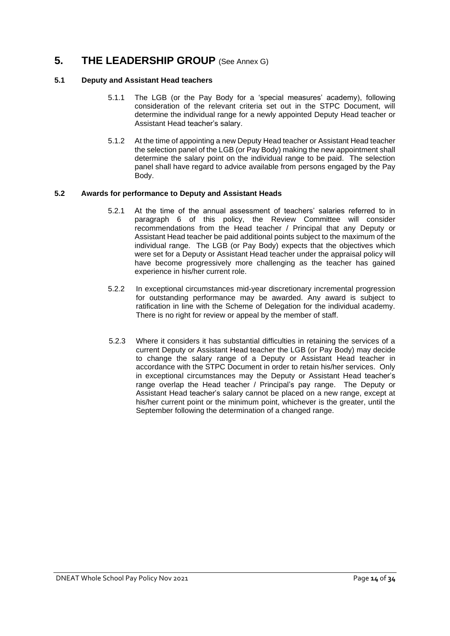## <span id="page-13-0"></span>**5. THE LEADERSHIP GROUP** (See Annex G)

## **5.1 Deputy and Assistant Head teachers**

- 5.1.1 The LGB (or the Pay Body for a 'special measures' academy), following consideration of the relevant criteria set out in the STPC Document, will determine the individual range for a newly appointed Deputy Head teacher or Assistant Head teacher's salary.
- 5.1.2 At the time of appointing a new Deputy Head teacher or Assistant Head teacher the selection panel of the LGB (or Pay Body) making the new appointment shall determine the salary point on the individual range to be paid. The selection panel shall have regard to advice available from persons engaged by the Pay Body.

## **5.2 Awards for performance to Deputy and Assistant Heads**

- 5.2.1 At the time of the annual assessment of teachers' salaries referred to in paragraph 6 of this policy, the Review Committee will consider recommendations from the Head teacher / Principal that any Deputy or Assistant Head teacher be paid additional points subject to the maximum of the individual range. The LGB (or Pay Body) expects that the objectives which were set for a Deputy or Assistant Head teacher under the appraisal policy will have become progressively more challenging as the teacher has gained experience in his/her current role.
- 5.2.2 In exceptional circumstances mid-year discretionary incremental progression for outstanding performance may be awarded. Any award is subject to ratification in line with the Scheme of Delegation for the individual academy. There is no right for review or appeal by the member of staff.
- 5.2.3 Where it considers it has substantial difficulties in retaining the services of a current Deputy or Assistant Head teacher the LGB (or Pay Body) may decide to change the salary range of a Deputy or Assistant Head teacher in accordance with the STPC Document in order to retain his/her services. Only in exceptional circumstances may the Deputy or Assistant Head teacher's range overlap the Head teacher / Principal's pay range. The Deputy or Assistant Head teacher's salary cannot be placed on a new range, except at his/her current point or the minimum point, whichever is the greater, until the September following the determination of a changed range.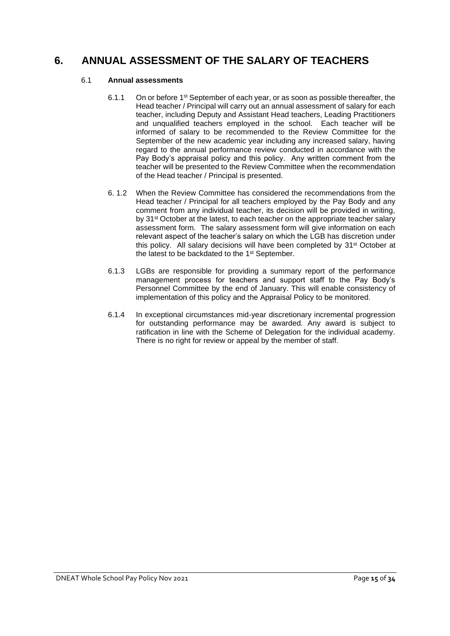## <span id="page-14-0"></span>**6. ANNUAL ASSESSMENT OF THE SALARY OF TEACHERS**

## 6.1 **Annual assessments**

- 6.1.1 On or before 1st September of each year, or as soon as possible thereafter, the Head teacher / Principal will carry out an annual assessment of salary for each teacher, including Deputy and Assistant Head teachers, Leading Practitioners and unqualified teachers employed in the school. Each teacher will be informed of salary to be recommended to the Review Committee for the September of the new academic year including any increased salary, having regard to the annual performance review conducted in accordance with the Pay Body's appraisal policy and this policy. Any written comment from the teacher will be presented to the Review Committee when the recommendation of the Head teacher / Principal is presented.
- 6. 1.2 When the Review Committee has considered the recommendations from the Head teacher / Principal for all teachers employed by the Pay Body and any comment from any individual teacher, its decision will be provided in writing, by 31<sup>st</sup> October at the latest, to each teacher on the appropriate teacher salary assessment form. The salary assessment form will give information on each relevant aspect of the teacher's salary on which the LGB has discretion under this policy. All salary decisions will have been completed by 31st October at the latest to be backdated to the 1<sup>st</sup> September.
- 6.1.3 LGBs are responsible for providing a summary report of the performance management process for teachers and support staff to the Pay Body's Personnel Committee by the end of January. This will enable consistency of implementation of this policy and the Appraisal Policy to be monitored.
- 6.1.4 In exceptional circumstances mid-year discretionary incremental progression for outstanding performance may be awarded. Any award is subject to ratification in line with the Scheme of Delegation for the individual academy. There is no right for review or appeal by the member of staff.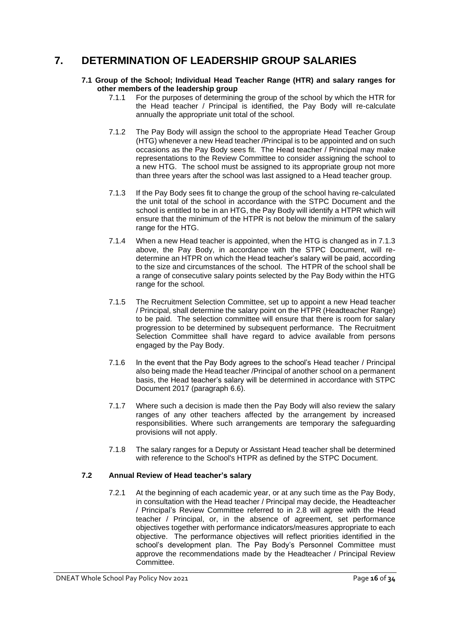## <span id="page-15-0"></span>**7. DETERMINATION OF LEADERSHIP GROUP SALARIES**

#### **7.1 Group of the School; Individual Head Teacher Range (HTR) and salary ranges for other members of the leadership group**

- 7.1.1 For the purposes of determining the group of the school by which the HTR for the Head teacher / Principal is identified, the Pay Body will re-calculate annually the appropriate unit total of the school.
- 7.1.2 The Pay Body will assign the school to the appropriate Head Teacher Group (HTG) whenever a new Head teacher /Principal is to be appointed and on such occasions as the Pay Body sees fit. The Head teacher / Principal may make representations to the Review Committee to consider assigning the school to a new HTG. The school must be assigned to its appropriate group not more than three years after the school was last assigned to a Head teacher group.
- 7.1.3 If the Pay Body sees fit to change the group of the school having re-calculated the unit total of the school in accordance with the STPC Document and the school is entitled to be in an HTG, the Pay Body will identify a HTPR which will ensure that the minimum of the HTPR is not below the minimum of the salary range for the HTG.
- 7.1.4 When a new Head teacher is appointed, when the HTG is changed as in 7.1.3 above, the Pay Body, in accordance with the STPC Document, will redetermine an HTPR on which the Head teacher's salary will be paid, according to the size and circumstances of the school. The HTPR of the school shall be a range of consecutive salary points selected by the Pay Body within the HTG range for the school.
- 7.1.5 The Recruitment Selection Committee, set up to appoint a new Head teacher / Principal, shall determine the salary point on the HTPR (Headteacher Range) to be paid. The selection committee will ensure that there is room for salary progression to be determined by subsequent performance. The Recruitment Selection Committee shall have regard to advice available from persons engaged by the Pay Body.
- 7.1.6 In the event that the Pay Body agrees to the school's Head teacher / Principal also being made the Head teacher /Principal of another school on a permanent basis, the Head teacher's salary will be determined in accordance with STPC Document 2017 (paragraph 6.6).
- 7.1.7 Where such a decision is made then the Pay Body will also review the salary ranges of any other teachers affected by the arrangement by increased responsibilities. Where such arrangements are temporary the safeguarding provisions will not apply.
- 7.1.8 The salary ranges for a Deputy or Assistant Head teacher shall be determined with reference to the School's HTPR as defined by the STPC Document.

## **7.2 Annual Review of Head teacher's salary**

7.2.1 At the beginning of each academic year, or at any such time as the Pay Body, in consultation with the Head teacher / Principal may decide, the Headteacher / Principal's Review Committee referred to in 2.8 will agree with the Head teacher / Principal, or, in the absence of agreement, set performance objectives together with performance indicators/measures appropriate to each objective. The performance objectives will reflect priorities identified in the school's development plan. The Pay Body's Personnel Committee must approve the recommendations made by the Headteacher / Principal Review Committee.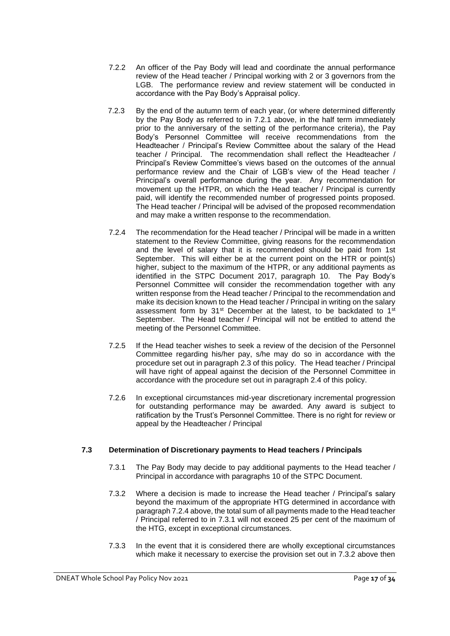- 7.2.2 An officer of the Pay Body will lead and coordinate the annual performance review of the Head teacher / Principal working with 2 or 3 governors from the LGB. The performance review and review statement will be conducted in accordance with the Pay Body's Appraisal policy.
- 7.2.3 By the end of the autumn term of each year, (or where determined differently by the Pay Body as referred to in 7.2.1 above, in the half term immediately prior to the anniversary of the setting of the performance criteria), the Pay Body's Personnel Committee will receive recommendations from the Headteacher / Principal's Review Committee about the salary of the Head teacher / Principal. The recommendation shall reflect the Headteacher / Principal's Review Committee's views based on the outcomes of the annual performance review and the Chair of LGB's view of the Head teacher / Principal's overall performance during the year. Any recommendation for movement up the HTPR, on which the Head teacher / Principal is currently paid, will identify the recommended number of progressed points proposed. The Head teacher / Principal will be advised of the proposed recommendation and may make a written response to the recommendation.
- 7.2.4 The recommendation for the Head teacher / Principal will be made in a written statement to the Review Committee, giving reasons for the recommendation and the level of salary that it is recommended should be paid from 1st September. This will either be at the current point on the HTR or point(s) higher, subject to the maximum of the HTPR, or any additional payments as identified in the STPC Document 2017, paragraph 10. The Pay Body's Personnel Committee will consider the recommendation together with any written response from the Head teacher / Principal to the recommendation and make its decision known to the Head teacher / Principal in writing on the salary assessment form by 31<sup>st</sup> December at the latest, to be backdated to 1<sup>st</sup> September. The Head teacher / Principal will not be entitled to attend the meeting of the Personnel Committee.
- 7.2.5 If the Head teacher wishes to seek a review of the decision of the Personnel Committee regarding his/her pay, s/he may do so in accordance with the procedure set out in paragraph 2.3 of this policy. The Head teacher / Principal will have right of appeal against the decision of the Personnel Committee in accordance with the procedure set out in paragraph 2.4 of this policy.
- 7.2.6 In exceptional circumstances mid-year discretionary incremental progression for outstanding performance may be awarded. Any award is subject to ratification by the Trust's Personnel Committee. There is no right for review or appeal by the Headteacher / Principal

## **7.3 Determination of Discretionary payments to Head teachers / Principals**

- 7.3.1 The Pay Body may decide to pay additional payments to the Head teacher / Principal in accordance with paragraphs 10 of the STPC Document.
- 7.3.2 Where a decision is made to increase the Head teacher / Principal's salary beyond the maximum of the appropriate HTG determined in accordance with paragraph 7.2.4 above, the total sum of all payments made to the Head teacher / Principal referred to in 7.3.1 will not exceed 25 per cent of the maximum of the HTG, except in exceptional circumstances.
- 7.3.3 In the event that it is considered there are wholly exceptional circumstances which make it necessary to exercise the provision set out in 7.3.2 above then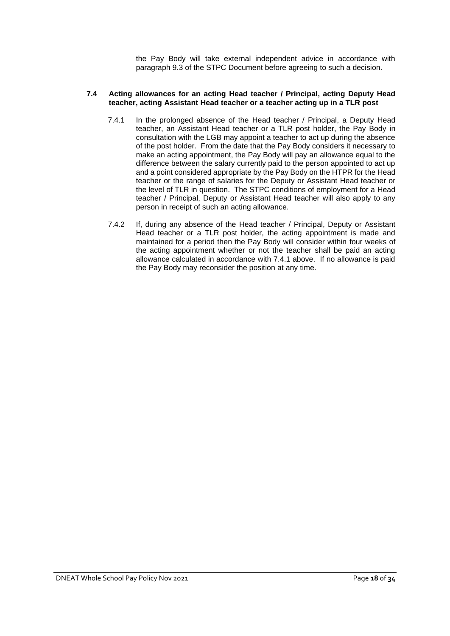the Pay Body will take external independent advice in accordance with paragraph 9.3 of the STPC Document before agreeing to such a decision.

#### **7.4 Acting allowances for an acting Head teacher / Principal, acting Deputy Head teacher, acting Assistant Head teacher or a teacher acting up in a TLR post**

- 7.4.1 In the prolonged absence of the Head teacher / Principal, a Deputy Head teacher, an Assistant Head teacher or a TLR post holder, the Pay Body in consultation with the LGB may appoint a teacher to act up during the absence of the post holder. From the date that the Pay Body considers it necessary to make an acting appointment, the Pay Body will pay an allowance equal to the difference between the salary currently paid to the person appointed to act up and a point considered appropriate by the Pay Body on the HTPR for the Head teacher or the range of salaries for the Deputy or Assistant Head teacher or the level of TLR in question. The STPC conditions of employment for a Head teacher / Principal, Deputy or Assistant Head teacher will also apply to any person in receipt of such an acting allowance.
- 7.4.2 If, during any absence of the Head teacher / Principal, Deputy or Assistant Head teacher or a TLR post holder, the acting appointment is made and maintained for a period then the Pay Body will consider within four weeks of the acting appointment whether or not the teacher shall be paid an acting allowance calculated in accordance with 7.4.1 above. If no allowance is paid the Pay Body may reconsider the position at any time.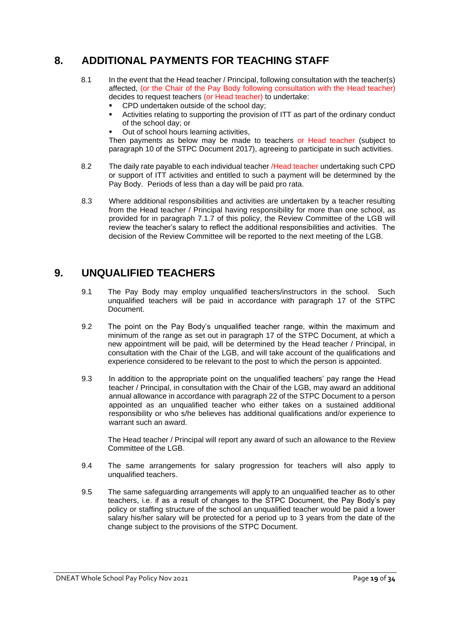## <span id="page-18-0"></span>**8. ADDITIONAL PAYMENTS FOR TEACHING STAFF**

- 8.1 In the event that the Head teacher / Principal, following consultation with the teacher(s) affected, (or the Chair of the Pay Body following consultation with the Head teacher) decides to request teachers (or Head teacher) to undertake:
	- CPD undertaken outside of the school day:
	- Activities relating to supporting the provision of ITT as part of the ordinary conduct of the school day; or
	- Out of school hours learning activities,

Then payments as below may be made to teachers or Head teacher (subject to paragraph 10 of the STPC Document 2017), agreeing to participate in such activities.

- 8.2 The daily rate payable to each individual teacher /Head teacher undertaking such CPD or support of ITT activities and entitled to such a payment will be determined by the Pay Body. Periods of less than a day will be paid pro rata.
- 8.3 Where additional responsibilities and activities are undertaken by a teacher resulting from the Head teacher / Principal having responsibility for more than one school, as provided for in paragraph 7.1.7 of this policy, the Review Committee of the LGB will review the teacher's salary to reflect the additional responsibilities and activities. The decision of the Review Committee will be reported to the next meeting of the LGB.

## <span id="page-18-1"></span>**9. UNQUALIFIED TEACHERS**

- 9.1 The Pay Body may employ unqualified teachers/instructors in the school. Such unqualified teachers will be paid in accordance with paragraph 17 of the STPC Document.
- 9.2 The point on the Pay Body's unqualified teacher range, within the maximum and minimum of the range as set out in paragraph 17 of the STPC Document, at which a new appointment will be paid, will be determined by the Head teacher / Principal, in consultation with the Chair of the LGB, and will take account of the qualifications and experience considered to be relevant to the post to which the person is appointed.
- 9.3 In addition to the appropriate point on the unqualified teachers' pay range the Head teacher / Principal, in consultation with the Chair of the LGB, may award an additional annual allowance in accordance with paragraph 22 of the STPC Document to a person appointed as an unqualified teacher who either takes on a sustained additional responsibility or who s/he believes has additional qualifications and/or experience to warrant such an award.

The Head teacher / Principal will report any award of such an allowance to the Review Committee of the LGB.

- 9.4 The same arrangements for salary progression for teachers will also apply to unqualified teachers.
- 9.5 The same safeguarding arrangements will apply to an unqualified teacher as to other teachers, i.e. if as a result of changes to the STPC Document, the Pay Body's pay policy or staffing structure of the school an unqualified teacher would be paid a lower salary his/her salary will be protected for a period up to 3 years from the date of the change subject to the provisions of the STPC Document.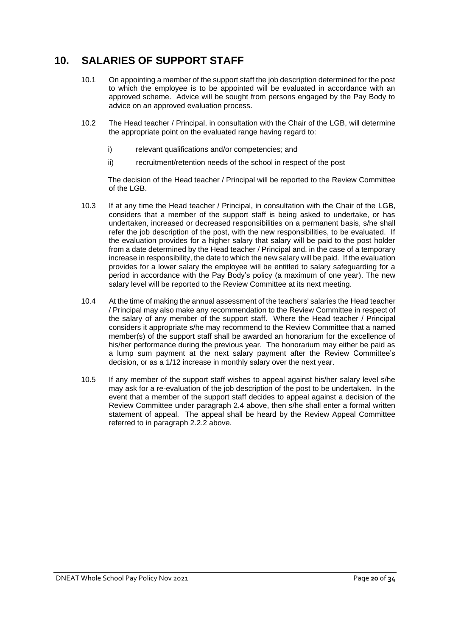## <span id="page-19-0"></span>**10. SALARIES OF SUPPORT STAFF**

- 10.1 On appointing a member of the support staff the job description determined for the post to which the employee is to be appointed will be evaluated in accordance with an approved scheme. Advice will be sought from persons engaged by the Pay Body to advice on an approved evaluation process.
- 10.2 The Head teacher / Principal, in consultation with the Chair of the LGB, will determine the appropriate point on the evaluated range having regard to:
	- i) relevant qualifications and/or competencies; and
	- ii) recruitment/retention needs of the school in respect of the post

The decision of the Head teacher / Principal will be reported to the Review Committee of the LGB.

- 10.3 If at any time the Head teacher / Principal, in consultation with the Chair of the LGB, considers that a member of the support staff is being asked to undertake, or has undertaken, increased or decreased responsibilities on a permanent basis, s/he shall refer the job description of the post, with the new responsibilities, to be evaluated. If the evaluation provides for a higher salary that salary will be paid to the post holder from a date determined by the Head teacher / Principal and, in the case of a temporary increase in responsibility, the date to which the new salary will be paid. If the evaluation provides for a lower salary the employee will be entitled to salary safeguarding for a period in accordance with the Pay Body's policy (a maximum of one year). The new salary level will be reported to the Review Committee at its next meeting.
- 10.4 At the time of making the annual assessment of the teachers' salaries the Head teacher / Principal may also make any recommendation to the Review Committee in respect of the salary of any member of the support staff. Where the Head teacher / Principal considers it appropriate s/he may recommend to the Review Committee that a named member(s) of the support staff shall be awarded an honorarium for the excellence of his/her performance during the previous year. The honorarium may either be paid as a lump sum payment at the next salary payment after the Review Committee's decision, or as a 1/12 increase in monthly salary over the next year.
- 10.5 If any member of the support staff wishes to appeal against his/her salary level s/he may ask for a re-evaluation of the job description of the post to be undertaken. In the event that a member of the support staff decides to appeal against a decision of the Review Committee under paragraph 2.4 above, then s/he shall enter a formal written statement of appeal. The appeal shall be heard by the Review Appeal Committee referred to in paragraph 2.2.2 above.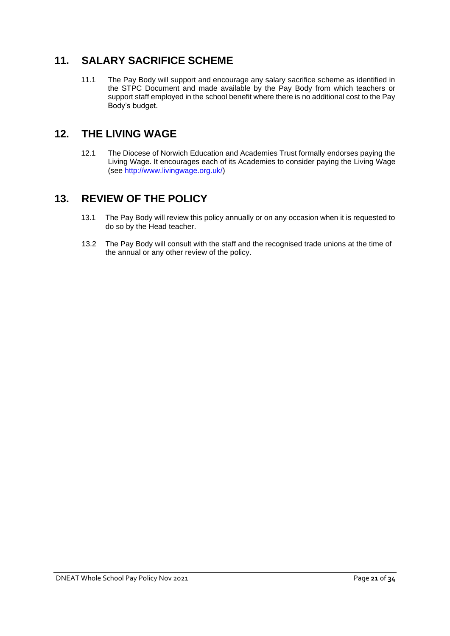## <span id="page-20-0"></span>**11. SALARY SACRIFICE SCHEME**

11.1 The Pay Body will support and encourage any salary sacrifice scheme as identified in the STPC Document and made available by the Pay Body from which teachers or support staff employed in the school benefit where there is no additional cost to the Pay Body's budget.

## <span id="page-20-1"></span>**12. THE LIVING WAGE**

12.1 The Diocese of Norwich Education and Academies Trust formally endorses paying the Living Wage. It encourages each of its Academies to consider paying the Living Wage (see [http://www.livingwage.org.uk/\)](http://www.livingwage.org.uk/)

## <span id="page-20-2"></span>**13. REVIEW OF THE POLICY**

- 13.1 The Pay Body will review this policy annually or on any occasion when it is requested to do so by the Head teacher.
- 13.2 The Pay Body will consult with the staff and the recognised trade unions at the time of the annual or any other review of the policy.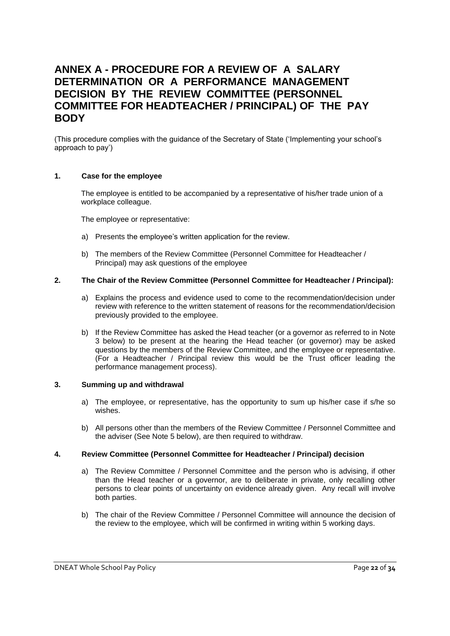## <span id="page-21-0"></span>**ANNEX A - PROCEDURE FOR A REVIEW OF A SALARY DETERMINATION OR A PERFORMANCE MANAGEMENT DECISION BY THE REVIEW COMMITTEE (PERSONNEL COMMITTEE FOR HEADTEACHER / PRINCIPAL) OF THE PAY BODY**

(This procedure complies with the guidance of the Secretary of State ('Implementing your school's approach to pay')

#### **1. Case for the employee**

The employee is entitled to be accompanied by a representative of his/her trade union of a workplace colleague.

The employee or representative:

- a) Presents the employee's written application for the review.
- b) The members of the Review Committee (Personnel Committee for Headteacher / Principal) may ask questions of the employee

#### **2. The Chair of the Review Committee (Personnel Committee for Headteacher / Principal):**

- a) Explains the process and evidence used to come to the recommendation/decision under review with reference to the written statement of reasons for the recommendation/decision previously provided to the employee.
- b) If the Review Committee has asked the Head teacher (or a governor as referred to in Note 3 below) to be present at the hearing the Head teacher (or governor) may be asked questions by the members of the Review Committee, and the employee or representative. (For a Headteacher / Principal review this would be the Trust officer leading the performance management process).

#### **3. Summing up and withdrawal**

- a) The employee, or representative, has the opportunity to sum up his/her case if s/he so wishes.
- b) All persons other than the members of the Review Committee / Personnel Committee and the adviser (See Note 5 below), are then required to withdraw.

#### **4. Review Committee (Personnel Committee for Headteacher / Principal) decision**

- a) The Review Committee / Personnel Committee and the person who is advising, if other than the Head teacher or a governor, are to deliberate in private, only recalling other persons to clear points of uncertainty on evidence already given. Any recall will involve both parties.
- b) The chair of the Review Committee / Personnel Committee will announce the decision of the review to the employee, which will be confirmed in writing within 5 working days.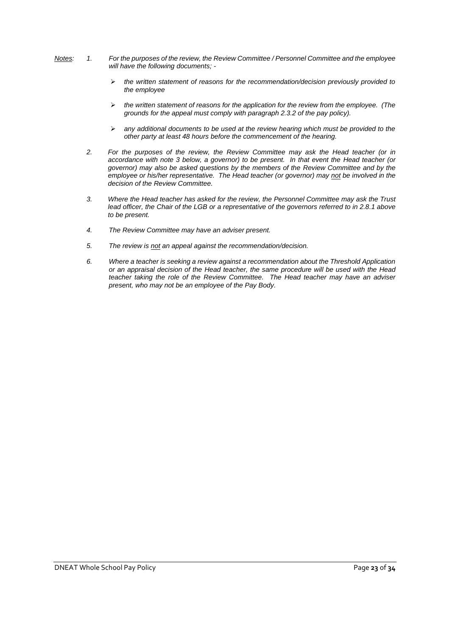- *Notes: 1. For the purposes of the review, the Review Committee / Personnel Committee and the employee will have the following documents; -*
	- ➢ *the written statement of reasons for the recommendation/decision previously provided to the employee*
	- ➢ *the written statement of reasons for the application for the review from the employee. (The grounds for the appeal must comply with paragraph 2.3.2 of the pay policy).*
	- ➢ *any additional documents to be used at the review hearing which must be provided to the other party at least 48 hours before the commencement of the hearing.*
	- *2. For the purposes of the review, the Review Committee may ask the Head teacher (or in accordance with note 3 below, a governor) to be present. In that event the Head teacher (or governor) may also be asked questions by the members of the Review Committee and by the employee or his/her representative. The Head teacher (or governor) may not be involved in the decision of the Review Committee.*
	- *3. Where the Head teacher has asked for the review, the Personnel Committee may ask the Trust lead officer, the Chair of the LGB or a representative of the governors referred to in 2.8.1 above to be present.*
	- *4. The Review Committee may have an adviser present.*
	- *5. The review is not an appeal against the recommendation/decision.*
	- *6. Where a teacher is seeking a review against a recommendation about the Threshold Application or an appraisal decision of the Head teacher, the same procedure will be used with the Head teacher taking the role of the Review Committee. The Head teacher may have an adviser present, who may not be an employee of the Pay Body.*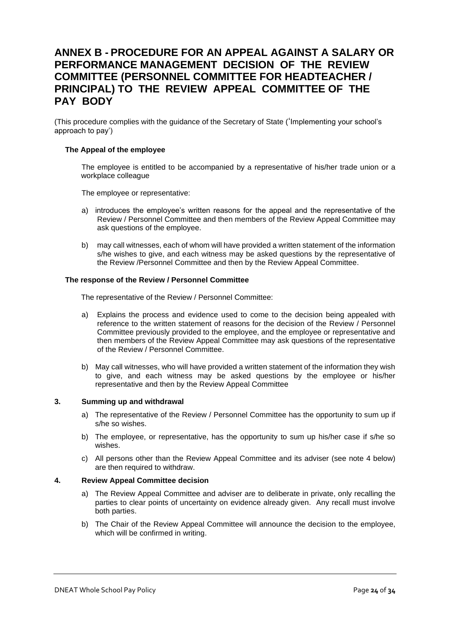## <span id="page-23-0"></span>**ANNEX B - PROCEDURE FOR AN APPEAL AGAINST A SALARY OR PERFORMANCE MANAGEMENT DECISION OF THE REVIEW COMMITTEE (PERSONNEL COMMITTEE FOR HEADTEACHER / PRINCIPAL) TO THE REVIEW APPEAL COMMITTEE OF THE PAY BODY**

(This procedure complies with the guidance of the Secretary of State ('Implementing your school's approach to pay')

#### **The Appeal of the employee**

The employee is entitled to be accompanied by a representative of his/her trade union or a workplace colleague

The employee or representative:

- a) introduces the employee's written reasons for the appeal and the representative of the Review / Personnel Committee and then members of the Review Appeal Committee may ask questions of the employee.
- b) may call witnesses, each of whom will have provided a written statement of the information s/he wishes to give, and each witness may be asked questions by the representative of the Review /Personnel Committee and then by the Review Appeal Committee.

#### **The response of the Review / Personnel Committee**

The representative of the Review / Personnel Committee:

- a) Explains the process and evidence used to come to the decision being appealed with reference to the written statement of reasons for the decision of the Review / Personnel Committee previously provided to the employee, and the employee or representative and then members of the Review Appeal Committee may ask questions of the representative of the Review / Personnel Committee.
- b) May call witnesses, who will have provided a written statement of the information they wish to give, and each witness may be asked questions by the employee or his/her representative and then by the Review Appeal Committee

#### **3. Summing up and withdrawal**

- a) The representative of the Review / Personnel Committee has the opportunity to sum up if s/he so wishes.
- b) The employee, or representative, has the opportunity to sum up his/her case if s/he so wishes.
- c) All persons other than the Review Appeal Committee and its adviser (see note 4 below) are then required to withdraw.

#### **4. Review Appeal Committee decision**

- a) The Review Appeal Committee and adviser are to deliberate in private, only recalling the parties to clear points of uncertainty on evidence already given. Any recall must involve both parties.
- b) The Chair of the Review Appeal Committee will announce the decision to the employee, which will be confirmed in writing.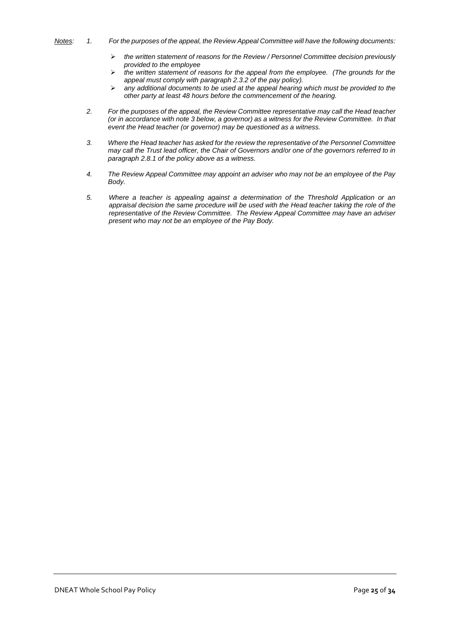- 
- *Notes: 1. For the purposes of the appeal, the Review Appeal Committee will have the following documents:*
	- ➢ *the written statement of reasons for the Review / Personnel Committee decision previously provided to the employee*
	- ➢ *the written statement of reasons for the appeal from the employee. (The grounds for the appeal must comply with paragraph 2.3.2 of the pay policy).*
	- ➢ *any additional documents to be used at the appeal hearing which must be provided to the other party at least 48 hours before the commencement of the hearing.*
	- *2. For the purposes of the appeal, the Review Committee representative may call the Head teacher (or in accordance with note 3 below, a governor) as a witness for the Review Committee. In that event the Head teacher (or governor) may be questioned as a witness.*
	- *3. Where the Head teacher has asked for the review the representative of the Personnel Committee may call the Trust lead officer, the Chair of Governors and/or one of the governors referred to in paragraph 2.8.1 of the policy above as a witness.*
	- *4. The Review Appeal Committee may appoint an adviser who may not be an employee of the Pay Body.*
	- *5. Where a teacher is appealing against a determination of the Threshold Application or an appraisal decision the same procedure will be used with the Head teacher taking the role of the representative of the Review Committee. The Review Appeal Committee may have an adviser present who may not be an employee of the Pay Body.*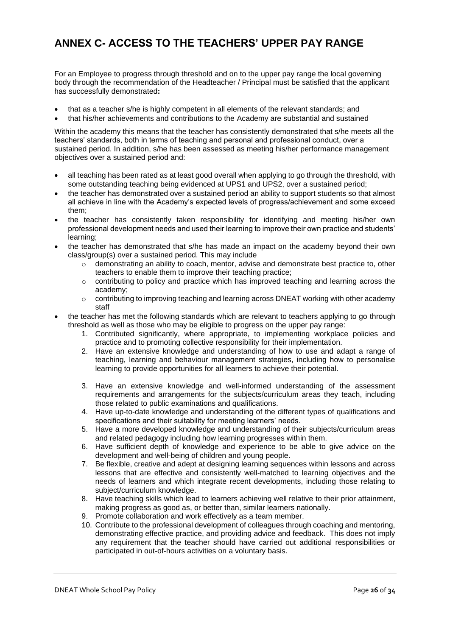## <span id="page-25-0"></span>**ANNEX C- ACCESS TO THE TEACHERS' UPPER PAY RANGE**

For an Employee to progress through threshold and on to the upper pay range the local governing body through the recommendation of the Headteacher / Principal must be satisfied that the applicant has successfully demonstrated**:**

- that as a teacher s/he is highly competent in all elements of the relevant standards; and
- that his/her achievements and contributions to the Academy are substantial and sustained

Within the academy this means that the teacher has consistently demonstrated that s/he meets all the teachers' standards, both in terms of teaching and personal and professional conduct, over a sustained period. In addition, s/he has been assessed as meeting his/her performance management objectives over a sustained period and:

- all teaching has been rated as at least good overall when applying to go through the threshold, with some outstanding teaching being evidenced at UPS1 and UPS2, over a sustained period;
- the teacher has demonstrated over a sustained period an ability to support students so that almost all achieve in line with the Academy's expected levels of progress/achievement and some exceed them;
- the teacher has consistently taken responsibility for identifying and meeting his/her own professional development needs and used their learning to improve their own practice and students' learning;
- the teacher has demonstrated that s/he has made an impact on the academy beyond their own class/group(s) over a sustained period. This may include
	- o demonstrating an ability to coach, mentor, advise and demonstrate best practice to, other teachers to enable them to improve their teaching practice;
	- $\circ$  contributing to policy and practice which has improved teaching and learning across the academy;
	- $\circ$  contributing to improving teaching and learning across DNEAT working with other academy staff
- the teacher has met the following standards which are relevant to teachers applying to go through threshold as well as those who may be eligible to progress on the upper pay range:
	- 1. Contributed significantly, where appropriate, to implementing workplace policies and practice and to promoting collective responsibility for their implementation.
	- 2. Have an extensive knowledge and understanding of how to use and adapt a range of teaching, learning and behaviour management strategies, including how to personalise learning to provide opportunities for all learners to achieve their potential.
	- 3. Have an extensive knowledge and well-informed understanding of the assessment requirements and arrangements for the subjects/curriculum areas they teach, including those related to public examinations and qualifications.
	- 4. Have up-to-date knowledge and understanding of the different types of qualifications and specifications and their suitability for meeting learners' needs.
	- 5. Have a more developed knowledge and understanding of their subjects/curriculum areas and related pedagogy including how learning progresses within them.
	- 6. Have sufficient depth of knowledge and experience to be able to give advice on the development and well-being of children and young people.
	- 7. Be flexible, creative and adept at designing learning sequences within lessons and across lessons that are effective and consistently well-matched to learning objectives and the needs of learners and which integrate recent developments, including those relating to subject/curriculum knowledge.
	- 8. Have teaching skills which lead to learners achieving well relative to their prior attainment, making progress as good as, or better than, similar learners nationally.
	- 9. Promote collaboration and work effectively as a team member.
	- 10. Contribute to the professional development of colleagues through coaching and mentoring, demonstrating effective practice, and providing advice and feedback. This does not imply any requirement that the teacher should have carried out additional responsibilities or participated in out-of-hours activities on a voluntary basis.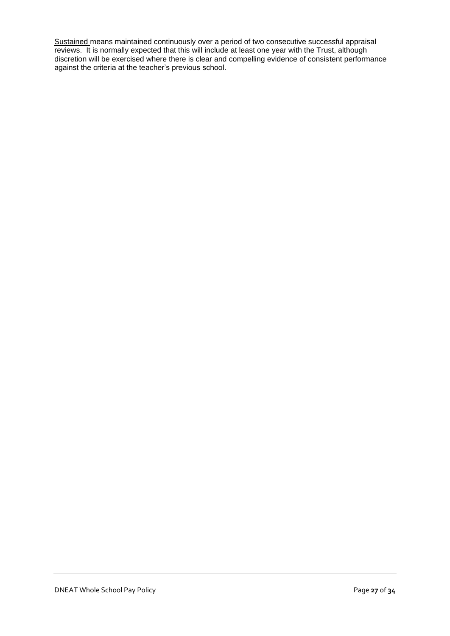Sustained means maintained continuously over a period of two consecutive successful appraisal reviews. It is normally expected that this will include at least one year with the Trust, although discretion will be exercised where there is clear and compelling evidence of consistent performance against the criteria at the teacher's previous school.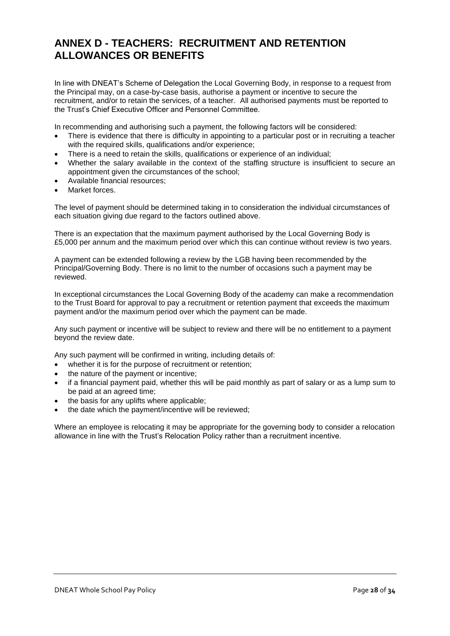## <span id="page-27-0"></span>**ANNEX D - TEACHERS: RECRUITMENT AND RETENTION ALLOWANCES OR BENEFITS**

In line with DNEAT's Scheme of Delegation the Local Governing Body, in response to a request from the Principal may, on a case-by-case basis, authorise a payment or incentive to secure the recruitment, and/or to retain the services, of a teacher. All authorised payments must be reported to the Trust's Chief Executive Officer and Personnel Committee.

In recommending and authorising such a payment, the following factors will be considered:

- There is evidence that there is difficulty in appointing to a particular post or in recruiting a teacher with the required skills, qualifications and/or experience;
- There is a need to retain the skills, qualifications or experience of an individual;
- Whether the salary available in the context of the staffing structure is insufficient to secure an appointment given the circumstances of the school;
- Available financial resources;
- Market forces

The level of payment should be determined taking in to consideration the individual circumstances of each situation giving due regard to the factors outlined above.

There is an expectation that the maximum payment authorised by the Local Governing Body is £5,000 per annum and the maximum period over which this can continue without review is two years.

A payment can be extended following a review by the LGB having been recommended by the Principal/Governing Body. There is no limit to the number of occasions such a payment may be reviewed.

In exceptional circumstances the Local Governing Body of the academy can make a recommendation to the Trust Board for approval to pay a recruitment or retention payment that exceeds the maximum payment and/or the maximum period over which the payment can be made.

Any such payment or incentive will be subject to review and there will be no entitlement to a payment beyond the review date.

Any such payment will be confirmed in writing, including details of:

- whether it is for the purpose of recruitment or retention;
- the nature of the payment or incentive:
- if a financial payment paid, whether this will be paid monthly as part of salary or as a lump sum to be paid at an agreed time;
- the basis for any uplifts where applicable;
- the date which the payment/incentive will be reviewed:

Where an employee is relocating it may be appropriate for the governing body to consider a relocation allowance in line with the Trust's Relocation Policy rather than a recruitment incentive.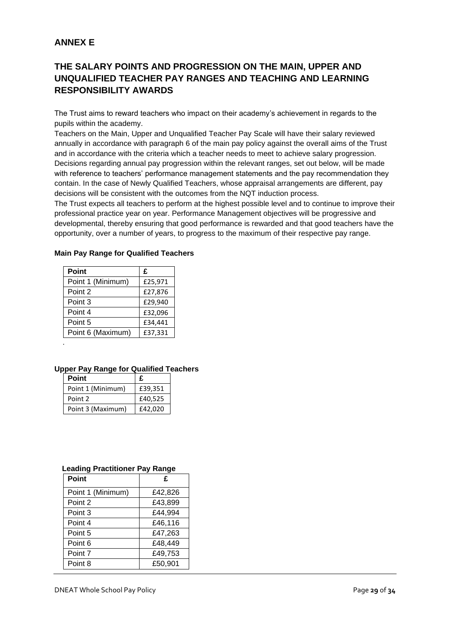## **ANNEX E**

## **THE SALARY POINTS AND PROGRESSION ON THE MAIN, UPPER AND UNQUALIFIED TEACHER PAY RANGES AND TEACHING AND LEARNING RESPONSIBILITY AWARDS**

The Trust aims to reward teachers who impact on their academy's achievement in regards to the pupils within the academy.

Teachers on the Main, Upper and Unqualified Teacher Pay Scale will have their salary reviewed annually in accordance with paragraph 6 of the main pay policy against the overall aims of the Trust and in accordance with the criteria which a teacher needs to meet to achieve salary progression. Decisions regarding annual pay progression within the relevant ranges, set out below, will be made with reference to teachers' performance management statements and the pay recommendation they contain. In the case of Newly Qualified Teachers, whose appraisal arrangements are different, pay decisions will be consistent with the outcomes from the NQT induction process.

The Trust expects all teachers to perform at the highest possible level and to continue to improve their professional practice year on year. Performance Management objectives will be progressive and developmental, thereby ensuring that good performance is rewarded and that good teachers have the opportunity, over a number of years, to progress to the maximum of their respective pay range.

| <b>Point</b>      | £       |
|-------------------|---------|
| Point 1 (Minimum) | £25,971 |
| Point 2           | £27,876 |
| Point 3           | £29,940 |
| Point 4           | £32,096 |
| Point 5           | £34,441 |
| Point 6 (Maximum) | £37,331 |
|                   |         |

#### **Main Pay Range for Qualified Teachers**

#### **Upper Pay Range for Qualified Teachers**

| <b>Point</b>      | £       |
|-------------------|---------|
| Point 1 (Minimum) | £39,351 |
| Point 2           | £40,525 |
| Point 3 (Maximum) | £42,020 |

#### **Leading Practitioner Pay Range**

| <b>Point</b>      | £       |
|-------------------|---------|
| Point 1 (Minimum) | £42,826 |
| Point 2           | £43,899 |
| Point 3           | £44,994 |
| Point 4           | £46,116 |
| Point 5           | £47,263 |
| Point 6           | £48,449 |
| Point 7           | £49,753 |
| Point 8           | £50,901 |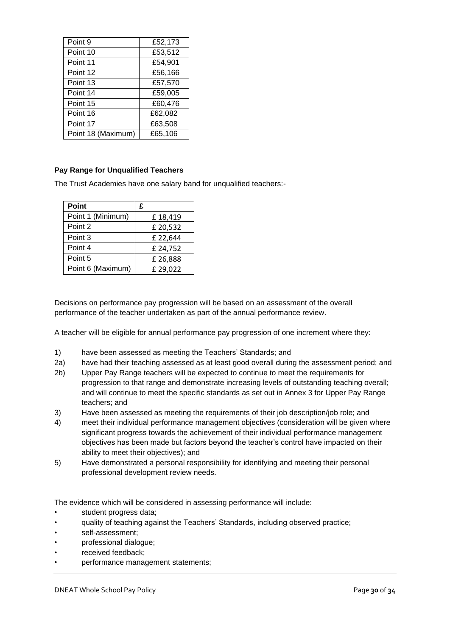| Point 9            | £52,173 |
|--------------------|---------|
| Point 10           | £53,512 |
| Point 11           | £54,901 |
| Point 12           | £56,166 |
| Point 13           | £57,570 |
| Point 14           | £59,005 |
| Point 15           | £60,476 |
| Point 16           | £62,082 |
| Point 17           | £63,508 |
| Point 18 (Maximum) | £65,106 |

## **Pay Range for Unqualified Teachers**

The Trust Academies have one salary band for unqualified teachers:-

| <b>Point</b>      | £        |
|-------------------|----------|
| Point 1 (Minimum) | £18,419  |
| Point 2           | £20,532  |
| Point 3           | £22,644  |
| Point 4           | £ 24,752 |
| Point 5           | £26,888  |
| Point 6 (Maximum) | £29,022  |

Decisions on performance pay progression will be based on an assessment of the overall performance of the teacher undertaken as part of the annual performance review.

A teacher will be eligible for annual performance pay progression of one increment where they:

- 1) have been assessed as meeting the Teachers' Standards; and
- 2a) have had their teaching assessed as at least good overall during the assessment period; and
- 2b) Upper Pay Range teachers will be expected to continue to meet the requirements for progression to that range and demonstrate increasing levels of outstanding teaching overall; and will continue to meet the specific standards as set out in Annex 3 for Upper Pay Range teachers; and
- 3) Have been assessed as meeting the requirements of their job description/job role; and
- 4) meet their individual performance management objectives (consideration will be given where significant progress towards the achievement of their individual performance management objectives has been made but factors beyond the teacher's control have impacted on their ability to meet their objectives); and
- 5) Have demonstrated a personal responsibility for identifying and meeting their personal professional development review needs.

The evidence which will be considered in assessing performance will include:

- student progress data;
- quality of teaching against the Teachers' Standards, including observed practice;
- self-assessment;
- professional dialogue;
- received feedback;
- performance management statements;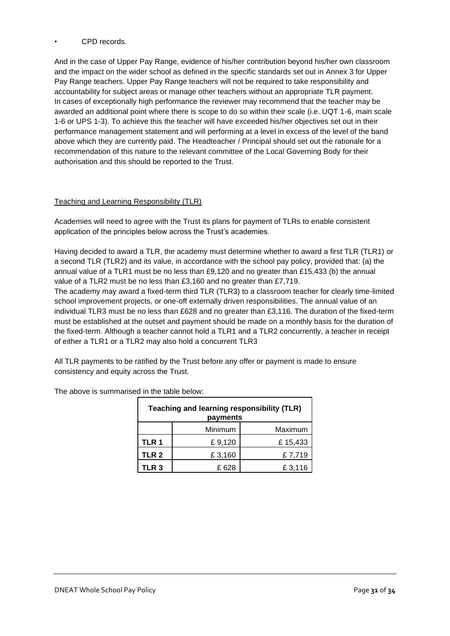## • CPD records.

And in the case of Upper Pay Range, evidence of his/her contribution beyond his/her own classroom and the impact on the wider school as defined in the specific standards set out in Annex 3 for Upper Pay Range teachers. Upper Pay Range teachers will not be required to take responsibility and accountability for subject areas or manage other teachers without an appropriate TLR payment. In cases of exceptionally high performance the reviewer may recommend that the teacher may be awarded an additional point where there is scope to do so within their scale (i.e. UQT 1-6, main scale 1-6 or UPS 1-3). To achieve this the teacher will have exceeded his/her objectives set out in their performance management statement and will performing at a level in excess of the level of the band above which they are currently paid. The Headteacher / Principal should set out the rationale for a recommendation of this nature to the relevant committee of the Local Governing Body for their authorisation and this should be reported to the Trust.

## Teaching and Learning Responsibility (TLR)

Academies will need to agree with the Trust its plans for payment of TLRs to enable consistent application of the principles below across the Trust's academies.

Having decided to award a TLR, the academy must determine whether to award a first TLR (TLR1) or a second TLR (TLR2) and its value, in accordance with the school pay policy, provided that: (a) the annual value of a TLR1 must be no less than £9,120 and no greater than £15,433 (b) the annual value of a TLR2 must be no less than £3,160 and no greater than £7,719.

The academy may award a fixed-term third TLR (TLR3) to a classroom teacher for clearly time-limited school improvement projects, or one-off externally driven responsibilities. The annual value of an individual TLR3 must be no less than £628 and no greater than £3,116. The duration of the fixed-term must be established at the outset and payment should be made on a monthly basis for the duration of the fixed-term. Although a teacher cannot hold a TLR1 and a TLR2 concurrently, a teacher in receipt of either a TLR1 or a TLR2 may also hold a concurrent TLR3

All TLR payments to be ratified by the Trust before any offer or payment is made to ensure consistency and equity across the Trust.

| Teaching and learning responsibility (TLR)<br>payments |         |         |  |  |
|--------------------------------------------------------|---------|---------|--|--|
|                                                        | Minimum | Maximum |  |  |
| TLR 1                                                  | £9,120  | £15,433 |  |  |
| TLR <sub>2</sub>                                       | £3,160  | £7,719  |  |  |
| TLR 3                                                  | £ 628   | £3,116  |  |  |

The above is summarised in the table below: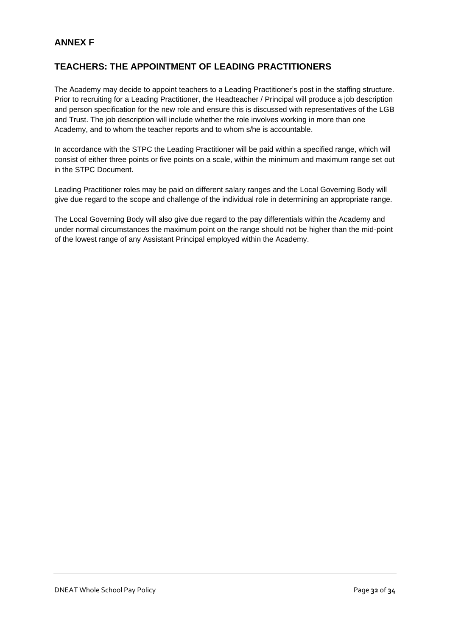## **ANNEX F**

## **TEACHERS: THE APPOINTMENT OF LEADING PRACTITIONERS**

The Academy may decide to appoint teachers to a Leading Practitioner's post in the staffing structure. Prior to recruiting for a Leading Practitioner, the Headteacher / Principal will produce a job description and person specification for the new role and ensure this is discussed with representatives of the LGB and Trust. The job description will include whether the role involves working in more than one Academy, and to whom the teacher reports and to whom s/he is accountable.

In accordance with the STPC the Leading Practitioner will be paid within a specified range, which will consist of either three points or five points on a scale, within the minimum and maximum range set out in the STPC Document.

Leading Practitioner roles may be paid on different salary ranges and the Local Governing Body will give due regard to the scope and challenge of the individual role in determining an appropriate range.

The Local Governing Body will also give due regard to the pay differentials within the Academy and under normal circumstances the maximum point on the range should not be higher than the mid-point of the lowest range of any Assistant Principal employed within the Academy.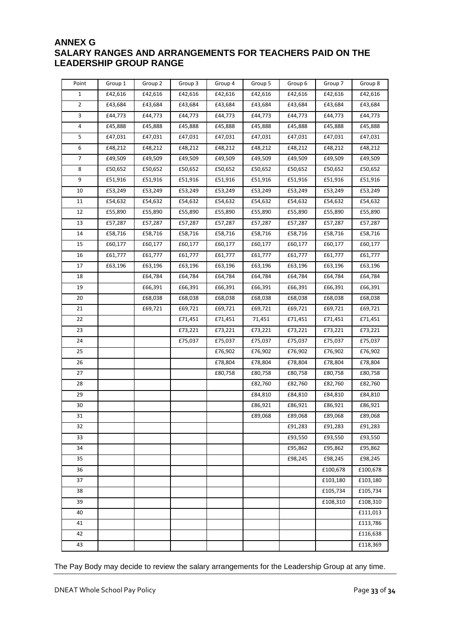## **ANNEX G SALARY RANGES AND ARRANGEMENTS FOR TEACHERS PAID ON THE LEADERSHIP GROUP RANGE**

| Point          | Group 1 | Group 2 | Group 3 | Group 4 | Group 5 | Group 6 | Group 7  | Group 8  |
|----------------|---------|---------|---------|---------|---------|---------|----------|----------|
| $\mathbf{1}$   | £42,616 | £42,616 | £42,616 | £42,616 | £42,616 | £42,616 | £42,616  | £42,616  |
| $\overline{2}$ | £43,684 | £43,684 | £43,684 | £43,684 | £43,684 | £43,684 | £43,684  | £43,684  |
| 3              | £44,773 | £44,773 | £44,773 | £44,773 | £44,773 | £44,773 | £44,773  | £44,773  |
| 4              | £45,888 | £45,888 | £45,888 | £45,888 | £45,888 | £45,888 | £45,888  | £45,888  |
| 5              | £47,031 | £47,031 | £47,031 | £47,031 | £47,031 | £47,031 | £47,031  | £47,031  |
| 6              | £48,212 | £48,212 | £48,212 | £48,212 | £48,212 | £48,212 | £48,212  | £48,212  |
| 7              | £49,509 | £49,509 | £49,509 | £49,509 | £49,509 | £49,509 | £49,509  | £49,509  |
| 8              | £50,652 | £50,652 | £50,652 | £50,652 | £50,652 | £50,652 | £50,652  | £50,652  |
| 9              | £51,916 | £51,916 | £51,916 | £51,916 | £51,916 | £51,916 | £51,916  | £51,916  |
| 10             | £53,249 | £53,249 | £53,249 | £53,249 | £53,249 | £53,249 | £53,249  | £53,249  |
| 11             | £54,632 | £54,632 | £54,632 | £54,632 | £54,632 | £54,632 | £54,632  | £54,632  |
| 12             | £55,890 | £55,890 | £55,890 | £55,890 | £55,890 | £55,890 | £55,890  | £55,890  |
| 13             | £57,287 | £57,287 | £57,287 | £57,287 | £57,287 | £57,287 | £57,287  | £57,287  |
| 14             | £58,716 | £58,716 | £58,716 | £58,716 | £58,716 | £58,716 | £58,716  | £58,716  |
| 15             | £60,177 | £60,177 | £60,177 | £60,177 | £60,177 | £60,177 | £60,177  | £60,177  |
| 16             | £61,777 | £61,777 | £61,777 | £61,777 | £61,777 | £61,777 | £61,777  | £61,777  |
| 17             | £63,196 | £63,196 | £63,196 | £63,196 | £63,196 | £63,196 | £63,196  | £63,196  |
| 18             |         | £64,784 | £64,784 | £64,784 | £64,784 | £64,784 | £64,784  | £64,784  |
| 19             |         | £66,391 | £66,391 | £66,391 | £66,391 | £66,391 | £66,391  | £66,391  |
| 20             |         | £68,038 | £68,038 | £68,038 | £68,038 | £68,038 | £68,038  | £68,038  |
| 21             |         | £69,721 | £69,721 | £69,721 | £69,721 | £69,721 | £69,721  | £69,721  |
| 22             |         |         | £71,451 | £71,451 | 71,451  | £71,451 | £71,451  | £71,451  |
| 23             |         |         | £73,221 | £73,221 | £73,221 | £73,221 | £73,221  | £73,221  |
| 24             |         |         | £75,037 | £75,037 | £75,037 | £75,037 | £75,037  | £75,037  |
| 25             |         |         |         | £76,902 | £76,902 | £76,902 | £76,902  | £76,902  |
| 26             |         |         |         | £78,804 | £78,804 | £78,804 | £78,804  | £78,804  |
| 27             |         |         |         | £80,758 | £80,758 | £80,758 | £80,758  | £80,758  |
| 28             |         |         |         |         | £82,760 | £82,760 | £82,760  | £82,760  |
| 29             |         |         |         |         | £84,810 | £84,810 | £84,810  | £84,810  |
| 30             |         |         |         |         | £86,921 | £86,921 | £86,921  | £86,921  |
| 31             |         |         |         |         | £89,068 | £89,068 | £89,068  | £89,068  |
| 32             |         |         |         |         |         | £91,283 | £91,283  | £91,283  |
| 33             |         |         |         |         |         | £93,550 | £93,550  | £93,550  |
| 34             |         |         |         |         |         | £95,862 | £95,862  | £95,862  |
| 35             |         |         |         |         |         | £98,245 | £98,245  | £98,245  |
| 36             |         |         |         |         |         |         | £100,678 | £100,678 |
| 37             |         |         |         |         |         |         | £103,180 | £103,180 |
| 38             |         |         |         |         |         |         | £105,734 | £105,734 |
| 39             |         |         |         |         |         |         | £108,310 | £108,310 |
| 40             |         |         |         |         |         |         |          | £111,013 |
| 41             |         |         |         |         |         |         |          | £113,786 |
| 42             |         |         |         |         |         |         |          | £116,638 |
| 43             |         |         |         |         |         |         |          | £118,369 |

The Pay Body may decide to review the salary arrangements for the Leadership Group at any time.